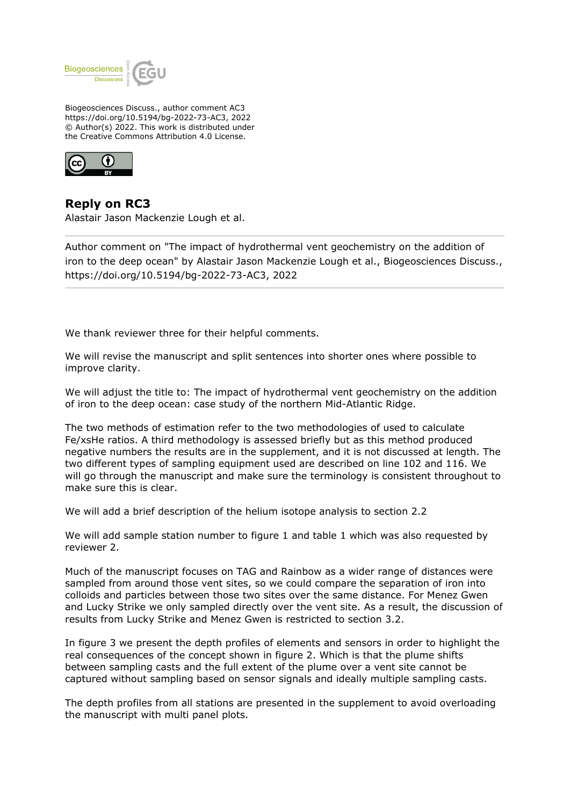

Biogeosciences Discuss., author comment AC3 https://doi.org/10.5194/bg-2022-73-AC3, 2022 © Author(s) 2022. This work is distributed under the Creative Commons Attribution 4.0 License.



## **Reply on RC3**

Alastair Jason Mackenzie Lough et al.

Author comment on "The impact of hydrothermal vent geochemistry on the addition of iron to the deep ocean" by Alastair Jason Mackenzie Lough et al., Biogeosciences Discuss., https://doi.org/10.5194/bg-2022-73-AC3, 2022

We thank reviewer three for their helpful comments.

We will revise the manuscript and split sentences into shorter ones where possible to improve clarity.

We will adjust the title to: The impact of hydrothermal vent geochemistry on the addition of iron to the deep ocean: case study of the northern Mid-Atlantic Ridge.

The two methods of estimation refer to the two methodologies of used to calculate Fe/xsHe ratios. A third methodology is assessed briefly but as this method produced negative numbers the results are in the supplement, and it is not discussed at length. The two different types of sampling equipment used are described on line 102 and 116. We will go through the manuscript and make sure the terminology is consistent throughout to make sure this is clear.

We will add a brief description of the helium isotope analysis to section 2.2

We will add sample station number to figure 1 and table 1 which was also requested by reviewer 2.

Much of the manuscript focuses on TAG and Rainbow as a wider range of distances were sampled from around those vent sites, so we could compare the separation of iron into colloids and particles between those two sites over the same distance. For Menez Gwen and Lucky Strike we only sampled directly over the vent site. As a result, the discussion of results from Lucky Strike and Menez Gwen is restricted to section 3.2.

In figure 3 we present the depth profiles of elements and sensors in order to highlight the real consequences of the concept shown in figure 2. Which is that the plume shifts between sampling casts and the full extent of the plume over a vent site cannot be captured without sampling based on sensor signals and ideally multiple sampling casts.

The depth profiles from all stations are presented in the supplement to avoid overloading the manuscript with multi panel plots.